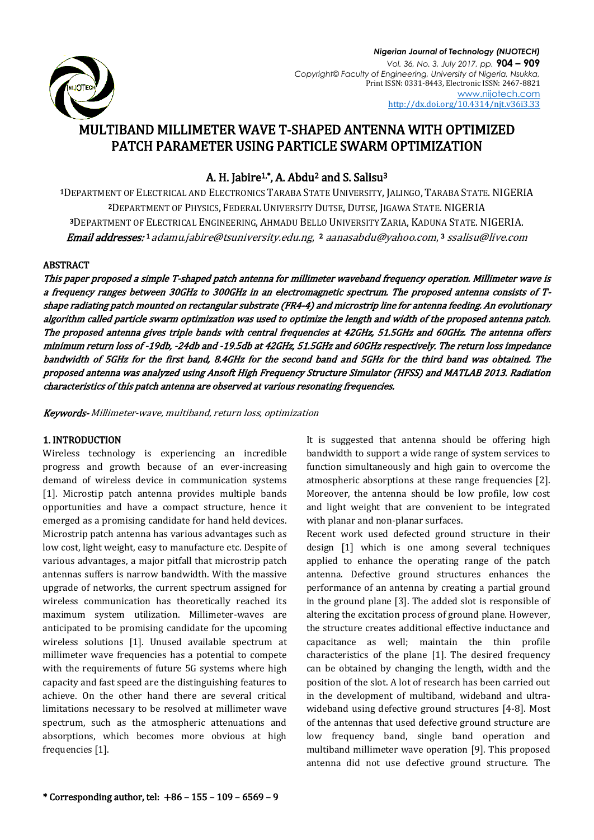

*Nigerian Journal of Technology (NIJOTECH) Vol. 36, No. 3, July 2017, pp.* **904 – 909** *Copyright© Faculty of Engineering, University of Nigeria, Nsukka,*  Print ISSN: 0331-8443, Electronic ISSN: 2467-8821 [www.nijotech.com](http://www.nijotech.com/) <http://dx.doi.org/10.4314/njt.v36i3.33>

# MULTIBAND MILLIMETER WAVE T-SHAPED ANTENNA WITH OPTIMIZED PATCH PARAMETER USING PARTICLE SWARM OPTIMIZATION

# A. H. Jabire<sup>1,\*</sup>, A. Abdu<sup>2</sup> and S. Salisu<sup>3</sup>

DEPARTMENT OF ELECTRICAL AND ELECTRONICS TARABA STATE UNIVERSITY, JALINGO, TARABA STATE. NIGERIA DEPARTMENT OF PHYSICS, FEDERAL UNIVERSITY DUTSE, DUTSE, JIGAWA STATE. NIGERIA DEPARTMENT OF ELECTRICAL ENGINEERING, AHMADU BELLO UNIVERSITY ZARIA, KADUNA STATE. NIGERIA. **Email addresses: 1** [adamu.jabire@tsuniversity.edu.ng](mailto:1%20adamu.jabire@tsuniversity.edu.ng), 2 [aanasabdu@yahoo.com](mailto:aanasabdu@yahoo.com), 3 [ssalisu@live.com](mailto:ssalisu@live.com)

# ABSTRACT

This paper proposed a simple T-shaped patch antenna for millimeter waveband frequency operation. Millimeter wave is a frequency ranges between 30GHz to 300GHz in an electromagnetic spectrum. The proposed antenna consists of Tshape radiating patch mounted on rectangular substrate (FR4-4) and microstrip line for antenna feeding. An evolutionary algorithm called particle swarm optimization was used to optimize the length and width of the proposed antenna patch. The proposed antenna gives triple bands with central frequencies at 42GHz, 51.5GHz and 60GHz. The antenna offers minimum return loss of -19db, -24db and -19.5db at 42GHz, 51.5GHz and 60GHz respectively. The return loss impedance bandwidth of 5GHz for the first band, 8.4GHz for the second band and 5GHz for the third band was obtained. The proposed antenna was analyzed using Ansoft High Frequency Structure Simulator (HFSS) and MATLAB 2013. Radiation characteristics of this patch antenna are observed at various resonating frequencies.

Keywords- Millimeter-wave, multiband, return loss, optimization

# 1. INTRODUCTION

Wireless technology is experiencing an incredible progress and growth because of an ever-increasing demand of wireless device in communication systems [1]. Microstip patch antenna provides multiple bands opportunities and have a compact structure, hence it emerged as a promising candidate for hand held devices. Microstrip patch antenna has various advantages such as low cost, light weight, easy to manufacture etc. Despite of various advantages, a major pitfall that microstrip patch antennas suffers is narrow bandwidth. With the massive upgrade of networks, the current spectrum assigned for wireless communication has theoretically reached its maximum system utilization. Millimeter-waves are anticipated to be promising candidate for the upcoming wireless solutions [1]. Unused available spectrum at millimeter wave frequencies has a potential to compete with the requirements of future 5G systems where high capacity and fast speed are the distinguishing features to achieve. On the other hand there are several critical limitations necessary to be resolved at millimeter wave spectrum, such as the atmospheric attenuations and absorptions, which becomes more obvious at high frequencies [1].

It is suggested that antenna should be offering high bandwidth to support a wide range of system services to function simultaneously and high gain to overcome the atmospheric absorptions at these range frequencies [2]. Moreover, the antenna should be low profile, low cost and light weight that are convenient to be integrated with planar and non-planar surfaces.

Recent work used defected ground structure in their design [1] which is one among several techniques applied to enhance the operating range of the patch antenna. Defective ground structures enhances the performance of an antenna by creating a partial ground in the ground plane [3]. The added slot is responsible of altering the excitation process of ground plane. However, the structure creates additional effective inductance and capacitance as well; maintain the thin profile characteristics of the plane [1]. The desired frequency can be obtained by changing the length, width and the position of the slot. A lot of research has been carried out in the development of multiband, wideband and ultrawideband using defective ground structures [4-8]. Most of the antennas that used defective ground structure are low frequency band, single band operation and multiband millimeter wave operation [9]. This proposed antenna did not use defective ground structure. The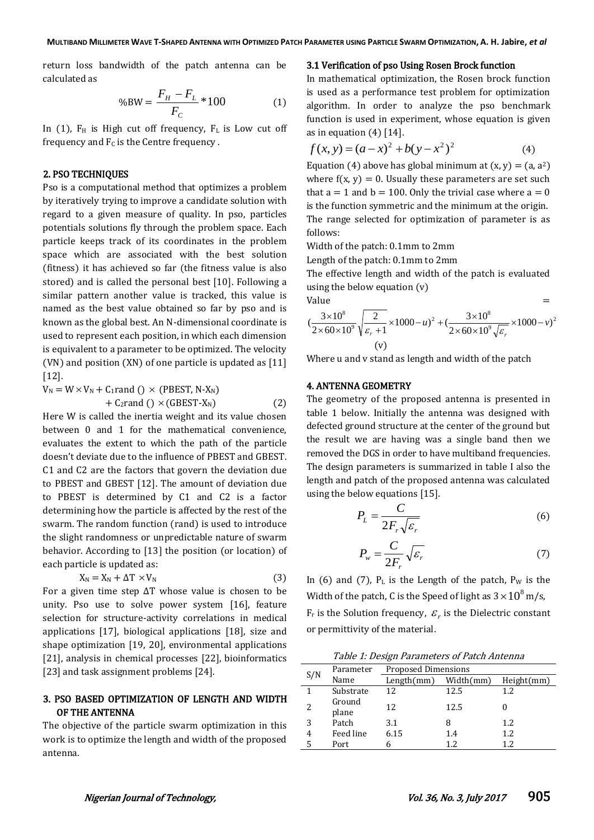return loss bandwidth of the patch antenna can be calculated as

$$
\%BW = \frac{F_H - F_L}{F_C} * 100\tag{1}
$$

In (1),  $F_H$  is High cut off frequency,  $F_L$  is Low cut off frequency and  $F<sub>C</sub>$  is the Centre frequency.

#### 2. PSO TECHNIQUES

Pso is a computational method that optimizes a problem by iteratively trying to improve a candidate solution with regard to a given measure of quality. In pso, particles potentials solutions fly through the problem space. Each particle keeps track of its coordinates in the problem space which are associated with the best solution (fitness) it has achieved so far (the fitness value is also stored) and is called the personal best [10]. Following a similar pattern another value is tracked, this value is named as the best value obtained so far by pso and is known as the global best. An N-dimensional coordinate is used to represent each position, in which each dimension is equivalent to a parameter to be optimized. The velocity (VN) and position (XN) of one particle is updated as [11] [12].

 $V_N = W \times V_N + C_1$ rand ()  $\times$  (PBEST, N-X<sub>N</sub>)  $+ C_2$ rand ()  $\times$  (GBEST-X<sub>N</sub>) (2)

Here W is called the inertia weight and its value chosen between 0 and 1 for the mathematical convenience, evaluates the extent to which the path of the particle doesn't deviate due to the influence of PBEST and GBEST. C1 and C2 are the factors that govern the deviation due to PBEST and GBEST [12]. The amount of deviation due to PBEST is determined by C1 and C2 is a factor determining how the particle is affected by the rest of the swarm. The random function (rand) is used to introduce the slight randomness or unpredictable nature of swarm behavior. According to [13] the position (or location) of each particle is updated as:

$$
X_N = X_N + \Delta T \times V_N \tag{3}
$$

For a given time step ∆T whose value is chosen to be unity. Pso use to solve power system [16], feature selection for structure-activity correlations in medical applications [17], biological applications [18], size and shape optimization [19, 20], environmental applications [21], analysis in chemical processes [22], bioinformatics [23] and task assignment problems [24].

# 3. PSO BASED OPTIMIZATION OF LENGTH AND WIDTH OF THE ANTENNA

The objective of the particle swarm optimization in this work is to optimize the length and width of the proposed antenna.

#### 3.1 Verification of pso Using Rosen Brock function

In mathematical optimization, the Rosen brock function is used as a performance test problem for optimization algorithm. In order to analyze the pso benchmark function is used in experiment, whose equation is given as in equation  $(4)$  [14].

$$
f(x, y) = (a - x)^2 + b(y - x^2)^2
$$
 (4)

Equation (4) above has global minimum at  $(x, y) = (a, a^2)$ where  $f(x, y) = 0$ . Usually these parameters are set such that  $a = 1$  and  $b = 100$ . Only the trivial case where  $a = 0$ is the function symmetric and the minimum at the origin. The range selected for optimization of parameter is as follows:

Width of the patch: 0.1mm to 2mm

Length of the patch: 0.1mm to 2mm

The effective length and width of the patch is evaluated using the below equation (v)

$$
Value = 200
$$

$$
\left(\frac{3\times10^{8}}{2\times60\times10^{9}}\sqrt{\frac{2}{\varepsilon_{r}+1}}\times1000-u\right)^{2}+\left(\frac{3\times10^{8}}{2\times60\times10^{9}\sqrt{\varepsilon_{r}}}\times1000-v\right)^{2}
$$
  
(v)

Where u and v stand as length and width of the patch

#### 4. ANTENNA GEOMETRY

The geometry of the proposed antenna is presented in table 1 below. Initially the antenna was designed with defected ground structure at the center of the ground but the result we are having was a single band then we removed the DGS in order to have multiband frequencies. The design parameters is summarized in table I also the length and patch of the proposed antenna was calculated using the below equations [15].

$$
P_L = \frac{C}{2F_r\sqrt{\varepsilon_r}}\tag{6}
$$

$$
P_w = \frac{C}{2F_r} \sqrt{\varepsilon_r} \tag{7}
$$

In (6) and (7),  $P_L$  is the Length of the patch,  $P_W$  is the Width of the patch, C is the Speed of light as  $3 \times 10^8$  m/s,  $F_r$  is the Solution frequency,  $\varepsilon_r$  is the Dielectric constant or permittivity of the material.

|  | Table 1: Design Parameters of Patch Antenna |
|--|---------------------------------------------|
|  |                                             |

| S/N | Parameter       | <b>Proposed Dimensions</b> |           |            |  |
|-----|-----------------|----------------------------|-----------|------------|--|
|     | Name            | Length(mm)                 | Width(mm) | Height(mm) |  |
|     | Substrate       | 12                         | 12.5      | 1.2        |  |
|     | Ground<br>plane | 12                         | 12.5      |            |  |
| 3   | Patch           | 3.1                        | 8         | 1.2        |  |
| 4   | Feed line       | 6.15                       | 1.4       | 1.2        |  |
|     | Port            |                            | 12        | 19         |  |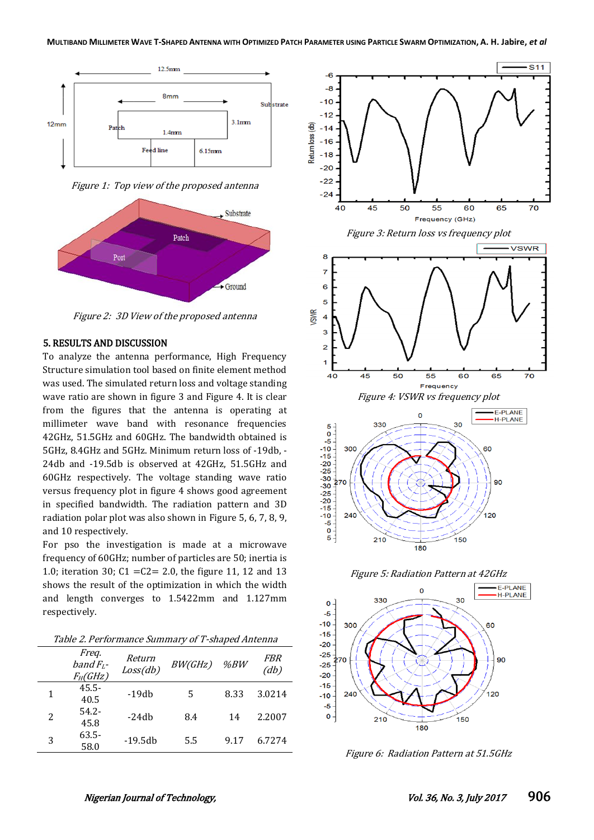

Figure 1: Top view of the proposed antenna



Figure 2: 3D View of the proposed antenna

#### 5. RESULTS AND DISCUSSION

To analyze the antenna performance, High Frequency Structure simulation tool based on finite element method was used. The simulated return loss and voltage standing wave ratio are shown in figure 3 and Figure 4. It is clear from the figures that the antenna is operating at millimeter wave band with resonance frequencies 42GHz, 51.5GHz and 60GHz. The bandwidth obtained is 5GHz, 8.4GHz and 5GHz. Minimum return loss of -19db, - 24db and -19.5db is observed at 42GHz, 51.5GHz and 60GHz respectively. The voltage standing wave ratio versus frequency plot in figure 4 shows good agreement in specified bandwidth. The radiation pattern and 3D radiation polar plot was also shown in Figure 5, 6, 7, 8, 9, and 10 respectively.

For pso the investigation is made at a microwave frequency of 60GHz; number of particles are 50; inertia is 1.0; iteration 30; C1 =C2= 2.0, the figure 11, 12 and 13 shows the result of the optimization in which the width and length converges to 1.5422mm and 1.127mm respectively.

Table 2. Performance Summary of T-shaped Antenna

| гарге 2.1 стюттатес даттаг у от т-эпарса ттеста |                                     |                    |         |      |                    |  |  |  |
|-------------------------------------------------|-------------------------------------|--------------------|---------|------|--------------------|--|--|--|
|                                                 | Freq.<br>band $F_L$ -<br>$F_H(GHz)$ | Return<br>Loss(db) | BW(GHz) | %BW  | <i>FBR</i><br>(db) |  |  |  |
| 1                                               | $45.5 -$<br>40.5                    | $-19db$            | 5       | 8.33 | 3.0214             |  |  |  |
| 2                                               | $54.2 -$<br>45.8                    | $-24db$            | 8.4     | 14   | 2.2007             |  |  |  |
| 3                                               | $63.5 -$<br>58.0                    | $-19.5db$          | 5.5     | 9.17 | 6.7274             |  |  |  |







180

150

 $\overline{5}$  +

210



Figure 6: Radiation Pattern at 51.5GHz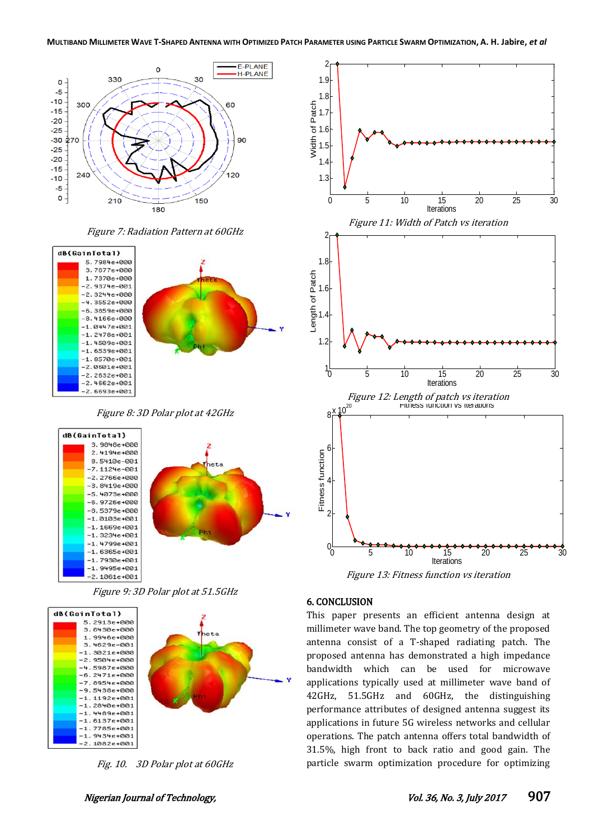

Figure 7: Radiation Pattern at 60GHz







Figure 9: 3D Polar plot at 51.5GHz



Fig. 10. 3D Polar plot at 60GHz





Figure 13: Fitness function vs iteration

#### 6. CONCLUSION

This paper presents an efficient antenna design at millimeter wave band. The top geometry of the proposed antenna consist of a T-shaped radiating patch. The proposed antenna has demonstrated a high impedance bandwidth which can be used for microwave applications typically used at millimeter wave band of 42GHz, 51.5GHz and 60GHz, the distinguishing performance attributes of designed antenna suggest its applications in future 5G wireless networks and cellular operations. The patch antenna offers total bandwidth of 31.5%, high front to back ratio and good gain. The particle swarm optimization procedure for optimizing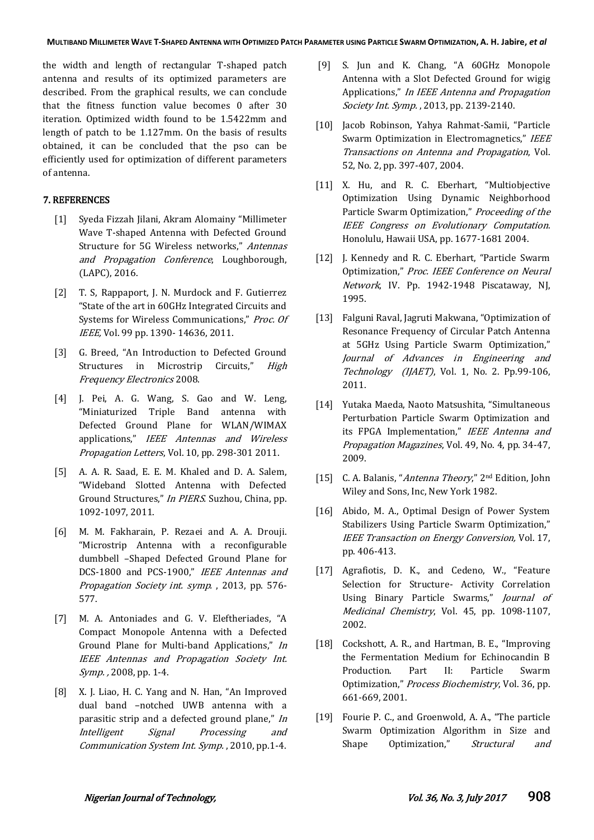the width and length of rectangular T-shaped patch antenna and results of its optimized parameters are described. From the graphical results, we can conclude that the fitness function value becomes 0 after 30 iteration. Optimized width found to be 1.5422mm and length of patch to be 1.127mm. On the basis of results obtained, it can be concluded that the pso can be efficiently used for optimization of different parameters of antenna.

## 7. REFERENCES

- [1] Syeda Fizzah Jilani, Akram Alomainy "Millimeter Wave T-shaped Antenna with Defected Ground Structure for 5G Wireless networks," Antennas and Propagation Conference, Loughborough, (LAPC), 2016.
- [2] T. S, Rappaport, J. N. Murdock and F. Gutierrez "State of the art in 60GHz Integrated Circuits and Systems for Wireless Communications," Proc. Of IEEE, Vol. 99 pp. 1390- 14636, 2011.
- [3] G. Breed, "An Introduction to Defected Ground Structures in Microstrip Circuits," High Frequency Electronics 2008.
- [4] J. Pei, A. G. Wang, S. Gao and W. Leng, "Miniaturized Triple Band antenna with Defected Ground Plane for WLAN/WIMAX applications," IEEE Antennas and Wireless Propagation Letters, Vol. 10, pp. 298-301 2011.
- [5] A. A. R. Saad, E. E. M. Khaled and D. A. Salem, "Wideband Slotted Antenna with Defected Ground Structures," In PIERS. Suzhou, China, pp. 1092-1097, 2011.
- [6] M. M. Fakharain, P. Rezaei and A. A. Drouji. "Microstrip Antenna with a reconfigurable dumbbell –Shaped Defected Ground Plane for DCS-1800 and PCS-1900," IEEE Antennas and Propagation Society int. symp. , 2013, pp. 576- 577.
- [7] M. A. Antoniades and G. V. Eleftheriades, "A Compact Monopole Antenna with a Defected Ground Plane for Multi-band Applications," In IEEE Antennas and Propagation Society Int. Symp. , 2008, pp. 1-4.
- [8] X. J. Liao, H. C. Yang and N. Han, "An Improved dual band –notched UWB antenna with a parasitic strip and a defected ground plane," In Intelligent Signal Processing and Communication System Int. Symp. , 2010, pp.1-4.
- [9] S. Jun and K. Chang, "A 60GHz Monopole Antenna with a Slot Defected Ground for wigig Applications," In IEEE Antenna and Propagation Society Int. Symp. , 2013, pp. 2139-2140.
- [10] Jacob Robinson, Yahya Rahmat-Samii, "Particle Swarm Optimization in Electromagnetics," IEEE Transactions on Antenna and Propagation, Vol. 52, No. 2, pp. 397-407, 2004.
- [11] X. Hu, and R. C. Eberhart, "Multiobjective Optimization Using Dynamic Neighborhood Particle Swarm Optimization," Proceeding of the IEEE Congress on Evolutionary Computation. Honolulu, Hawaii USA, pp. 1677-1681 2004.
- [12] J. Kennedy and R. C. Eberhart, "Particle Swarm Optimization," Proc. IEEE Conference on Neural Network, IV. Pp. 1942-1948 Piscataway, NJ, 1995.
- [13] Falguni Raval, Jagruti Makwana, "Optimization of Resonance Frequency of Circular Patch Antenna at 5GHz Using Particle Swarm Optimization," Journal of Advances in Engineering and Technology (IJAET), Vol. 1, No. 2. Pp.99-106, 2011.
- [14] Yutaka Maeda, Naoto Matsushita, "Simultaneous Perturbation Particle Swarm Optimization and its FPGA Implementation," IEEE Antenna and Propagation Magazines, Vol. 49, No. 4, pp. 34-47, 2009.
- [15] C. A. Balanis, "Antenna Theory," 2nd Edition, John Wiley and Sons, Inc, New York 1982.
- [16] Abido, M. A., Optimal Design of Power System Stabilizers Using Particle Swarm Optimization," IEEE Transaction on Energy Conversion, Vol. 17, pp. 406-413.
- [17] Agrafiotis, D. K., and Cedeno, W., "Feature Selection for Structure- Activity Correlation Using Binary Particle Swarms," Journal of Medicinal Chemistry, Vol. 45, pp. 1098-1107, 2002.
- [18] Cockshott, A. R., and Hartman, B. E., "Improving the Fermentation Medium for Echinocandin B Production. Part II: Particle Swarm Optimization," Process Biochemistry, Vol. 36, pp. 661-669, 2001.
- [19] Fourie P. C., and Groenwold, A. A., "The particle Swarm Optimization Algorithm in Size and Shape Optimization," Structural and